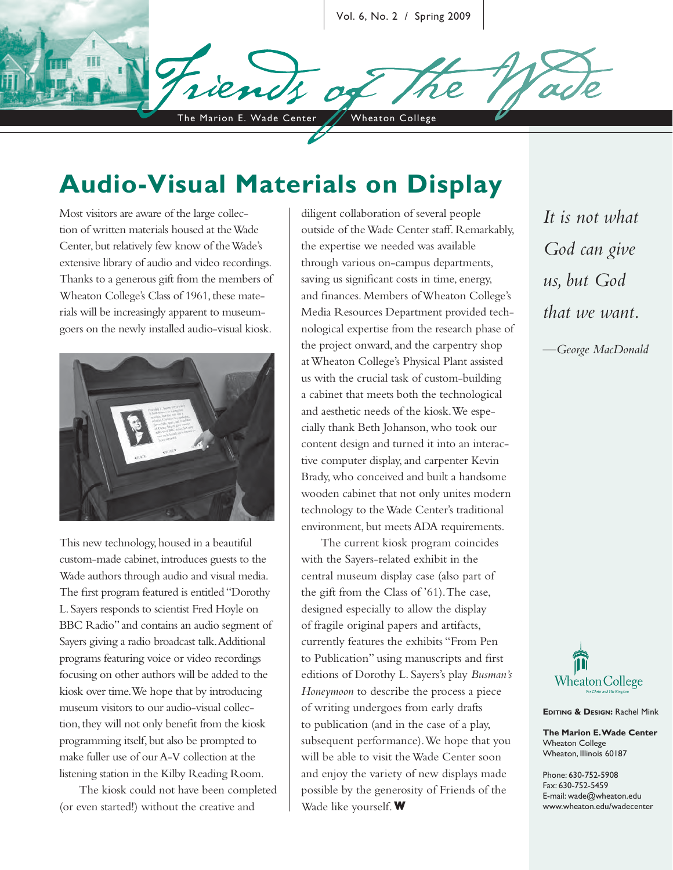Vol. 6, No. 2 / Spring 2009

The Marion E. Wade Center / Wheaton College

# **Audio-Visual Materials on Display**

Most visitors are aware of the large collection of written materials housed at the Wade Center, but relatively few know of the Wade's extensive library of audio and video recordings. Thanks to a generous gift from the members of Wheaton College's Class of 1961, these materials will be increasingly apparent to museumgoers on the newly installed audio-visual kiosk.



This new technology, housed in a beautiful custom-made cabinet, introduces guests to the Wade authors through audio and visual media. The first program featured is entitled "Dorothy L. Sayers responds to scientist Fred Hoyle on BBC Radio" and contains an audio segment of Sayers giving a radio broadcast talk. Additional programs featuring voice or video recordings focusing on other authors will be added to the kiosk over time. We hope that by introducing museum visitors to our audio-visual collection, they will not only benefit from the kiosk programming itself, but also be prompted to make fuller use of our A-V collection at the listening station in the Kilby Reading Room.

The kiosk could not have been completed (or even started!) without the creative and

diligent collaboration of several people outside of the Wade Center staff. Remarkably, the expertise we needed was available through various on-campus departments, saving us significant costs in time, energy, and finances. Members of Wheaton College's Media Resources Department provided technological expertise from the research phase of the project onward, and the carpentry shop at Wheaton College's Physical Plant assisted us with the crucial task of custom-building a cabinet that meets both the technological and aesthetic needs of the kiosk. We especially thank Beth Johanson, who took our content design and turned it into an interactive computer display, and carpenter Kevin Brady, who conceived and built a handsome wooden cabinet that not only unites modern technology to the Wade Center's traditional environment, but meets ADA requirements.

The current kiosk program coincides with the Sayers-related exhibit in the central museum display case (also part of the gift from the Class of '61). The case, designed especially to allow the display of fragile original papers and artifacts, currently features the exhibits "From Pen to Publication" using manuscripts and first editions of Dorothy L. Sayers's play *Busman's Honeymoon* to describe the process a piece of writing undergoes from early drafts to publication (and in the case of a play, subsequent performance). We hope that you will be able to visit the Wade Center soon and enjoy the variety of new displays made possible by the generosity of Friends of the Wade like yourself. **W**

*It is not what God can give us, but God that we want.*

*—George MacDonald*



**EDITING & DESIGN:** Rachel Mink

**The Marion E. Wade Center** Wheaton College Wheaton, Illinois 60187

Phone: 630-752-5908 Fax: 630-752-5459 E-mail: wade@wheaton.edu www.wheaton.edu/wadecenter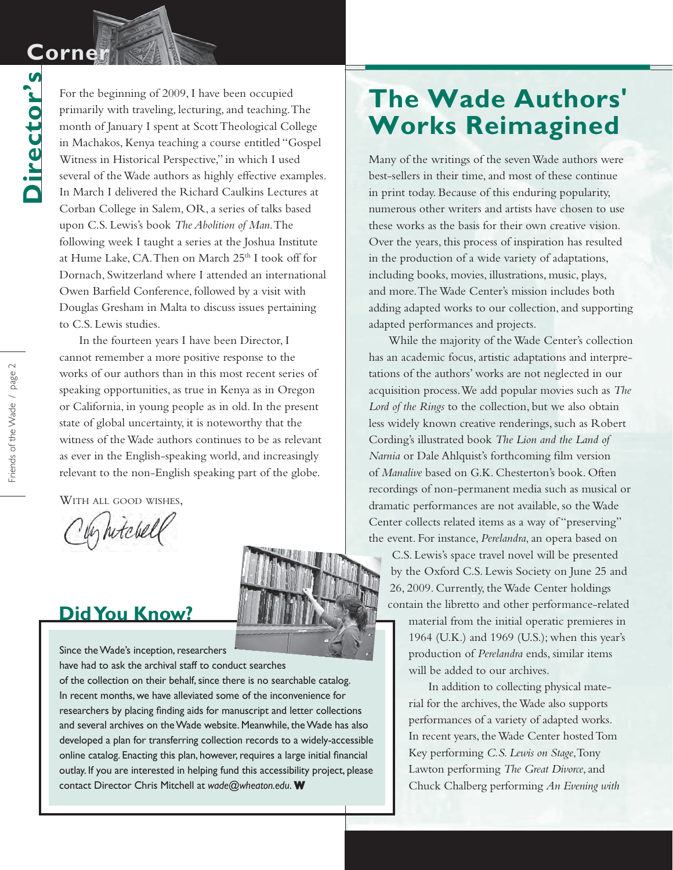### **Corner Corner**

**Director's**

Director's

For the beginning of 2009, I have been occupied primarily with traveling, lecturing, and teaching. The month of January I spent at Scott Theological College in Machakos, Kenya teaching a course entitled "Gospel Witness in Historical Perspective," in which I used several of the Wade authors as highly effective examples. In March I delivered the Richard Caulkins Lectures at Corban College in Salem, OR, a series of talks based upon C.S. Lewis's book *The Abolition of Man*. The following week I taught a series at the Joshua Institute at Hume Lake, CA. Then on March 25<sup>th</sup> I took off for Dornach, Switzerland where I attended an international Owen Barfield Conference, followed by a visit with Douglas Gresham in Malta to discuss issues pertaining to C.S. Lewis studies.

In the fourteen years I have been Director, I cannot remember a more positive response to the works of our authors than in this most recent series of speaking opportunities, as true in Kenya as in Oregon or California, in young people as in old. In the present state of global uncertainty, it is noteworthy that the witness of the Wade authors continues to be as relevant as ever in the English-speaking world, and increasingly relevant to the non-English speaking part of the globe.

WITH ALL GOOD WISHES,

by hitchell

#### **Did You Know?**

Since the Wade's inception, researchers have had to ask the archival staff to conduct searches of the collection on their behalf, since there is no searchable catalog. In recent months, we have alleviated some of the inconvenience for researchers by placing finding aids for manuscript and letter collections and several archives on the Wade website. Meanwhile, the Wade has also developed a plan for transferring collection records to a widely-accessible online catalog. Enacting this plan, however, requires a large initial financial outlay. If you are interested in helping fund this accessibility project, please contact Director Chris Mitchell at *wade@wheaton.edu*.**W**

# **The Wade Authors' Works Reimagined**

Many of the writings of the seven Wade authors were best-sellers in their time, and most of these continue in print today. Because of this enduring popularity, numerous other writers and artists have chosen to use these works as the basis for their own creative vision. Over the years, this process of inspiration has resulted in the production of a wide variety of adaptations, including books, movies, illustrations, music, plays, and more. The Wade Center's mission includes both adding adapted works to our collection, and supporting adapted performances and projects.

While the majority of the Wade Center's collection has an academic focus, artistic adaptations and interpretations of the authors' works are not neglected in our acquisition process. We add popular movies such as *The Lord of the Rings* to the collection, but we also obtain less widely known creative renderings, such as Robert Cording's illustrated book *The Lion and the Land of Narnia* or Dale Ahlquist's forthcoming film version of *Manalive* based on G.K. Chesterton's book. Often recordings of non-permanent media such as musical or dramatic performances are not available, so the Wade Center collects related items as a way of "preserving" the event. For instance, *Perelandra*, an opera based on

C.S. Lewis's space travel novel will be presented by the Oxford C.S. Lewis Society on June 25 and 26, 2009. Currently, the Wade Center holdings contain the libretto and other performance-related material from the initial operatic premieres in 1964 (U.K.) and 1969 (U.S.); when this year's production of *Perelandra* ends, similar items

will be added to our archives. In addition to collecting physical mate-

rial for the archives, the Wade also supports performances of a variety of adapted works. In recent years, the Wade Center hosted Tom Key performing *C.S. Lewis on Stage*, Tony Lawton performing *The Great Divorce*, and Chuck Chalberg performing *An Evening with*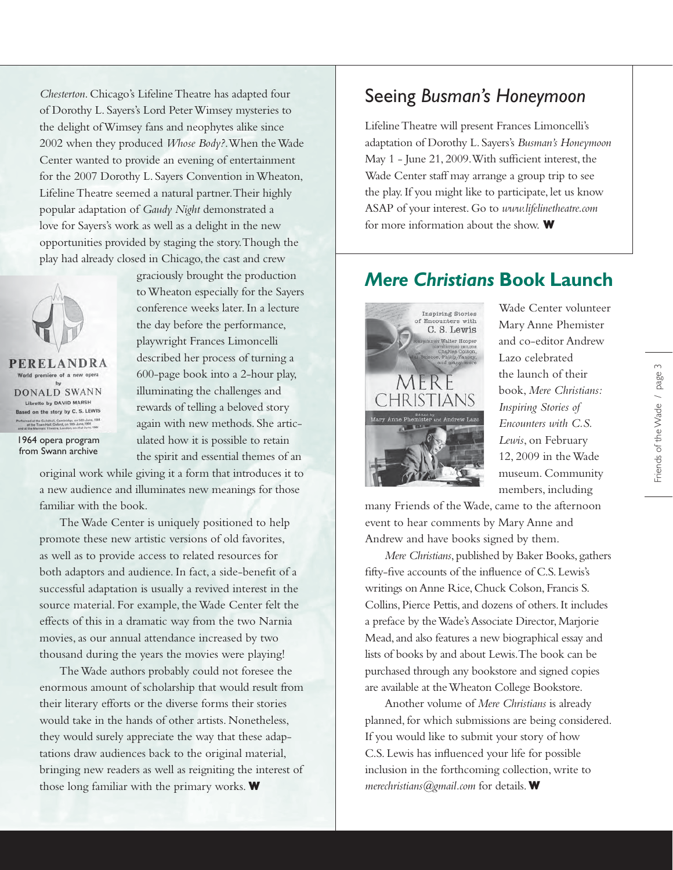*Chesterton*. Chicago's Lifeline Theatre has adapted four of Dorothy L. Sayers's Lord Peter Wimsey mysteries to the delight of Wimsey fans and neophytes alike since 2002 when they produced *Whose Body?*. When the Wade Center wanted to provide an evening of entertainment for the 2007 Dorothy L. Sayers Convention in Wheaton, Lifeline Theatre seemed a natural partner. Their highly popular adaptation of *Gaudy Night* demonstrated a love for Sayers's work as well as a delight in the new opportunities provided by staging the story. Though the play had already closed in Chicago, the cast and crew



from Swann archive

graciously brought the production to Wheaton especially for the Sayers conference weeks later. In a lecture the day before the performance, playwright Frances Limoncelli described her process of turning a 600-page book into a 2-hour play, illuminating the challenges and rewards of telling a beloved story again with new methods. She articulated how it is possible to retain the spirit and essential themes of an

original work while giving it a form that introduces it to a new audience and illuminates new meanings for those familiar with the book.

The Wade Center is uniquely positioned to help promote these new artistic versions of old favorites, as well as to provide access to related resources for both adaptors and audience. In fact, a side-benefit of a successful adaptation is usually a revived interest in the source material. For example, the Wade Center felt the effects of this in a dramatic way from the two Narnia movies, as our annual attendance increased by two thousand during the years the movies were playing!

The Wade authors probably could not foresee the enormous amount of scholarship that would result from their literary efforts or the diverse forms their stories would take in the hands of other artists. Nonetheless, they would surely appreciate the way that these adaptations draw audiences back to the original material, bringing new readers as well as reigniting the interest of those long familiar with the primary works. **W**

#### Seeing *Busman's Honeymoon*

Lifeline Theatre will present Frances Limoncelli's adaptation of Dorothy L. Sayers's *Busman's Honeymoon* May  $1$  - June  $21,2009$ . With sufficient interest, the Wade Center staff may arrange a group trip to see the play. If you might like to participate, let us know ASAP of your interest. Go to *www.lifelinetheatre.com* for more information about the show. **W**

### *Mere Christians* **Book Launch**



Wade Center volunteer Mary Anne Phemister and co-editor Andrew Lazo celebrated the launch of their book, *Mere Christians: Inspiring Stories of Encounters with C.S. Lewis*, on February 12, 2009 in the Wade museum. Community members, including

many Friends of the Wade, came to the afternoon event to hear comments by Mary Anne and Andrew and have books signed by them.

*Mere Christians*, published by Baker Books, gathers fifty-five accounts of the influence of C.S. Lewis's writings on Anne Rice, Chuck Colson, Francis S. Collins, Pierce Pettis, and dozens of others. It includes a preface by the Wade's Associate Director, Marjorie Mead, and also features a new biographical essay and lists of books by and about Lewis. The book can be purchased through any bookstore and signed copies are available at the Wheaton College Bookstore.

**W** *merechristians@gmail.com* for details. Another volume of *Mere Christians* is already planned, for which submissions are being considered. If you would like to submit your story of how C.S. Lewis has influenced your life for possible inclusion in the forthcoming collection, write to